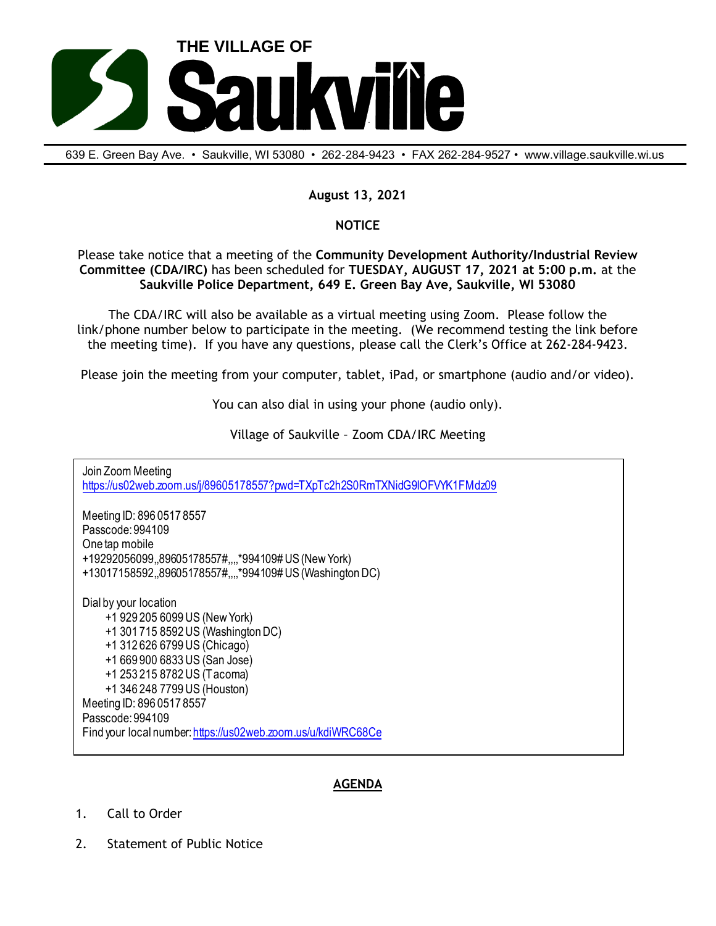

639 E. Green Bay Ave. • Saukville, Wl 53080 • 262-284-9423 • FAX 262-284-9527 • www.village.saukville.wi.us

## **August 13, 2021**

## **NOTICE**

Please take notice that a meeting of the **Community Development Authority/Industrial Review Committee (CDA/IRC)** has been scheduled for **TUESDAY, AUGUST 17, 2021 at 5:00 p.m.** at the **Saukville Police Department, 649 E. Green Bay Ave, Saukville, WI 53080**

The CDA/IRC will also be available as a virtual meeting using Zoom. Please follow the link/phone number below to participate in the meeting. (We recommend testing the link before the meeting time). If you have any questions, please call the Clerk's Office at 262-284-9423.

Please join the meeting from your computer, tablet, iPad, or smartphone (audio and/or video).

You can also dial in using your phone (audio only).

Village of Saukville – Zoom CDA/IRC Meeting

Join Zoom Meeting https://us02web.zoom.us/j/89605178557?pwd=TXpTc2h2S0RmTXNidG9IOFVYK1FMdz09 Meeting ID: 896 0517 8557 Passcode: 994109 One tap mobile +19292056099,,89605178557#,,,,\*994109# US (New York) +13017158592,,89605178557#,,,,\*994109# US (Washington DC) Dial by your location +1 929 205 6099 US (New York) +1 301 715 8592 US (Washington DC) +1 312 626 6799 US (Chicago) +1 669 900 6833 US (San Jose) +1 253 215 8782 US (Tacoma) +1 346 248 7799 US (Houston) Meeting ID: 896 0517 8557 Passcode: 994109 Find your local number: https://us02web.zoom.us/u/kdiWRC68Ce

## **AGENDA**

- 1. Call to Order
- 2. Statement of Public Notice